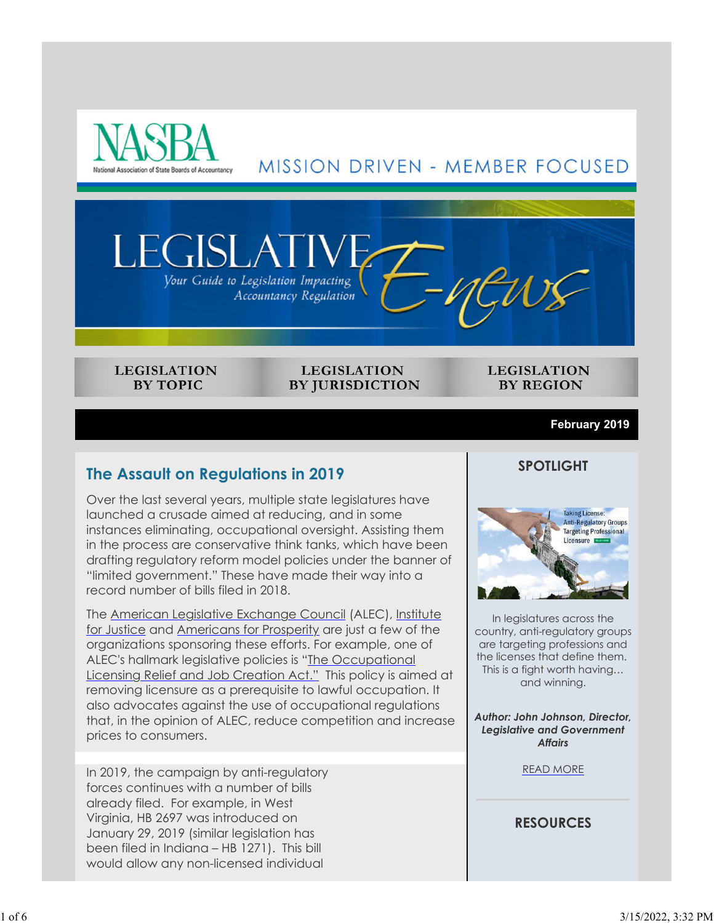



#### **LEGISLATION BY TOPIC**

**LEGISLATION BY JURISDICTION** 

#### **LEGISLATION BY REGION**

#### **February 2019**

## **The Assault on Regulations in 2019**

Over the last several years, multiple state legislatures have launched a crusade aimed at reducing, and in some instances eliminating, occupational oversight. Assisting them in the process are conservative think tanks, which have been drafting regulatory reform model policies under the banner of "limited government." These have made their way into a record number of bills filed in 2018.

The American Legislative Exchange Council (ALEC), Institute for Justice and Americans for Prosperity are just a few of the organizations sponsoring these efforts. For example, one of ALEC's hallmark legislative policies is "The Occupational Licensing Relief and Job Creation Act." This policy is aimed at removing licensure as a prerequisite to lawful occupation. It also advocates against the use of occupational regulations that, in the opinion of ALEC, reduce competition and increase prices to consumers.

In 2019, the campaign by anti-regulatory forces continues with a number of bills already filed. For example, in West Virginia, HB 2697 was introduced on January 29, 2019 (similar legislation has been filed in Indiana – HB 1271). This bill would allow any non-licensed individual

#### **SPOTLIGHT**



In legislatures across the country, anti-regulatory groups are targeting professions and the licenses that define them. This is a fight worth having… and winning.

*Author: John Johnson, Director, Legislative and Government Affairs*

READ MORE

### **RESOURCES**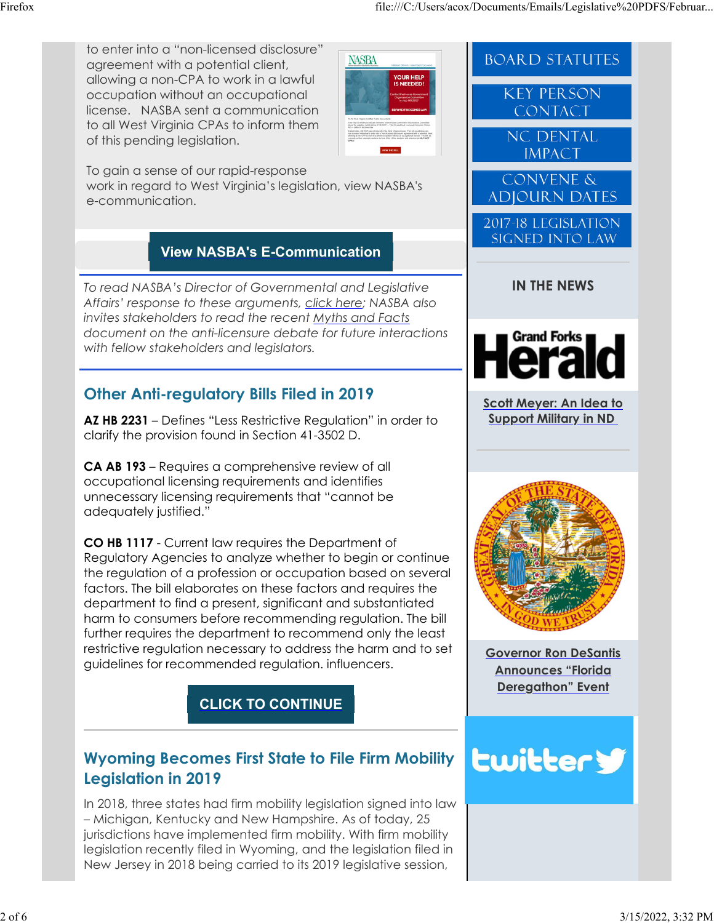**BOARD STATUTES** 

**KEY PERSON** CONTACT

**NC DENTAL IMPACT** 

**CONVENE & ADJOURN DATES** 

2017-18 LEGISLATION **SIGNED INTO LAW** 

to enter into a "non-licensed disclosure" agreement with a potential client, allowing a non-CPA to work in a lawful occupation without an occupational license. NASBA sent a communication to all West Virginia CPAs to inform them of this pending legislation.

**NASBA** YOUR HELF<br>IS NEEDED

To gain a sense of our rapid-response work in regard to West Virginia's legislation, view NASBA's e-communication.

# **View NASBA's E-Communication**

*To read NASBA's Director of Governmental and Legislative Affairs' response to these arguments, click here; NASBA also invites stakeholders to read the recent Myths and Facts document on the anti-licensure debate for future interactions with fellow stakeholders and legislators.*

# **Other Anti-regulatory Bills Filed in 2019**

**AZ HB 2231** – Defines "Less Restrictive Regulation" in order to clarify the provision found in Section 41-3502 D.

**CA AB 193** – Requires a comprehensive review of all occupational licensing requirements and identifies unnecessary licensing requirements that "cannot be adequately justified."

**CO HB 1117** - Current law requires the Department of Regulatory Agencies to analyze whether to begin or continue the regulation of a profession or occupation based on several factors. The bill elaborates on these factors and requires the department to find a present, significant and substantiated harm to consumers before recommending regulation. The bill further requires the department to recommend only the least restrictive regulation necessary to address the harm and to set guidelines for recommended regulation. influencers.

**CLICK TO CONTINUE**



In 2018, three states had firm mobility legislation signed into law – Michigan, Kentucky and New Hampshire. As of today, 25 jurisdictions have implemented firm mobility. With firm mobility legislation recently filed in Wyoming, and the legislation filed in New Jersey in 2018 being carried to its 2019 legislative session,

# **IN THE NEWS Grand Forks**

**Scott Meyer: An Idea to Support Military in ND**



**Governor Ron DeSantis Announces "Florida Deregathon" Event**

# **Lwittery**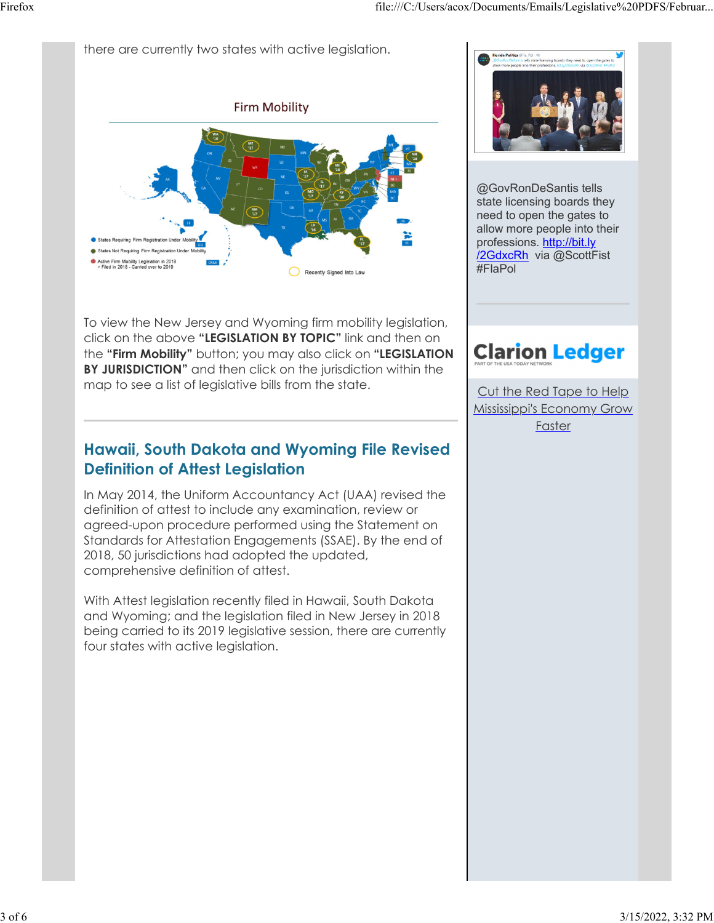there are currently two states with active legislation.



To view the New Jersey and Wyoming firm mobility legislation, click on the above **"LEGISLATION BY TOPIC"** link and then on the **"Firm Mobility"** button; you may also click on **"LEGISLATION BY JURISDICTION"** and then click on the jurisdiction within the map to see a list of legislative bills from the state.

# **Hawaii, South Dakota and Wyoming File Revised Definition of Attest Legislation**

In May 2014, the Uniform Accountancy Act (UAA) revised the definition of attest to include any examination, review or agreed-upon procedure performed using the Statement on Standards for Attestation Engagements (SSAE). By the end of 2018, 50 jurisdictions had adopted the updated, comprehensive definition of attest.

With Attest legislation recently filed in Hawaii, South Dakota and Wyoming; and the legislation filed in New Jersey in 2018 being carried to its 2019 legislative session, there are currently four states with active legislation.



@GovRonDeSantis tells state licensing boards they need to open the gates to allow more people into their professions. http://bit.ly /2GdxcRh via @ScottFist #FlaPol

# **Clarion Ledger**

Cut the Red Tape to Help Mississippi's Economy Grow Faster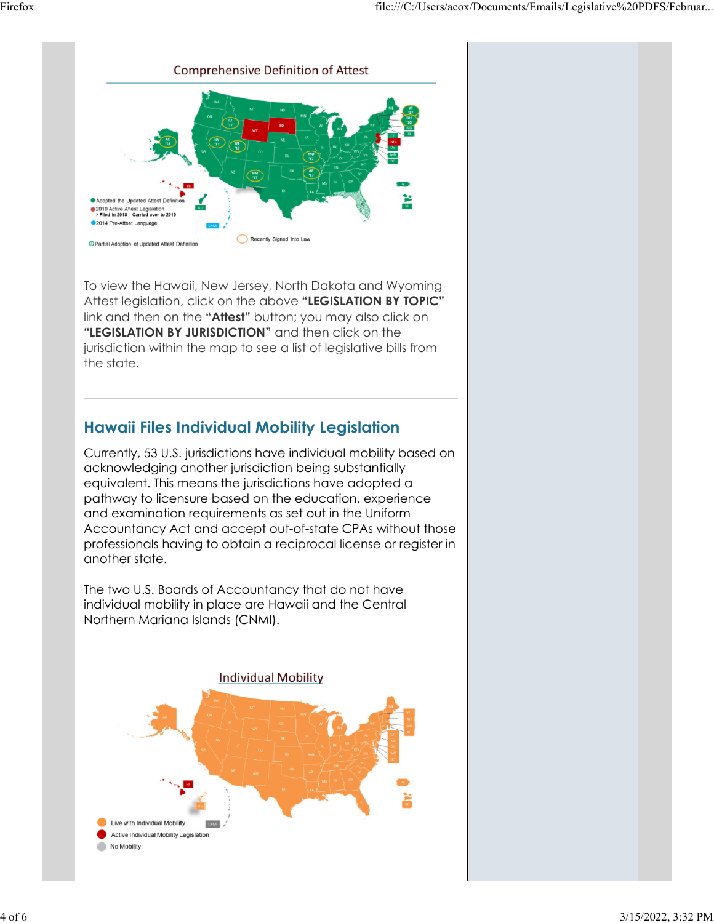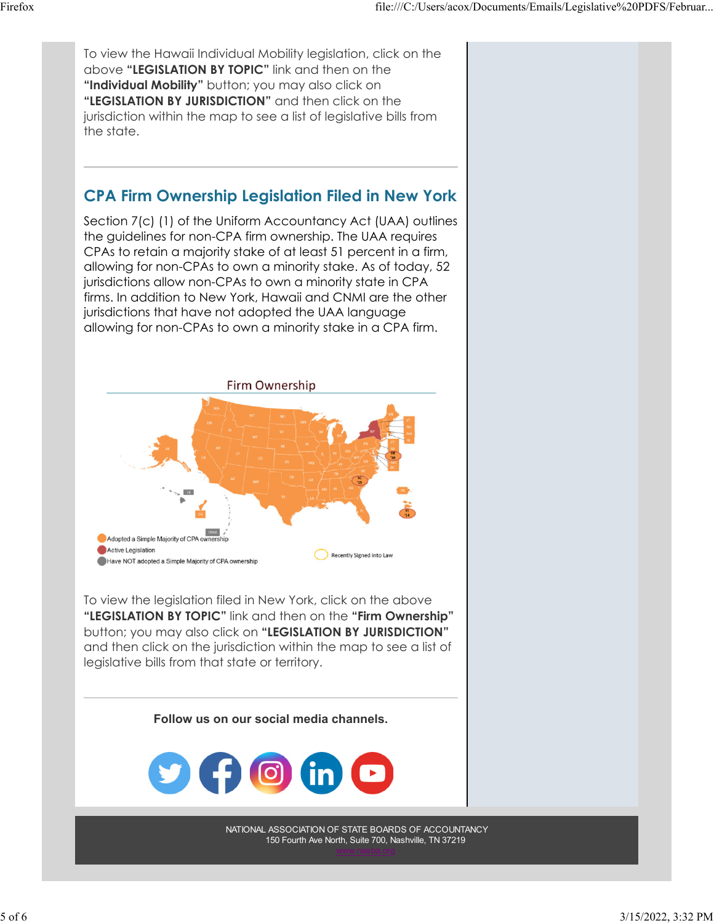To view the Hawaii Individual Mobility legislation, click on the above **"LEGISLATION BY TOPIC"** link and then on the **"Individual Mobility"** button; you may also click on **"LEGISLATION BY JURISDICTION"** and then click on the jurisdiction within the map to see a list of legislative bills from the state. **CPA Firm Ownership Legislation Filed in New York** Section 7(c) (1) of the Uniform Accountancy Act (UAA) outlines the guidelines for non-CPA firm ownership. The UAA requires CPAs to retain a majority stake of at least 51 percent in a firm, allowing for non-CPAs to own a minority stake. As of today, 52 jurisdictions allow non-CPAs to own a minority state in CPA firms. In addition to New York, Hawaii and CNMI are the other jurisdictions that have not adopted the UAA language allowing for non-CPAs to own a minority stake in a CPA firm. Firm Ownership Adopted a Simple Majority of CPA of Active Legislation Recently Signed into Law Have NOT adopted a Simple Majority of CPA ownership To view the legislation filed in New York, click on the above **"LEGISLATION BY TOPIC"** link and then on the **"Firm Ownership"** button; you may also click on **"LEGISLATION BY JURISDICTION"** and then click on the jurisdiction within the map to see a list of legislative bills from that state or territory. **Follow us on our social media channels.** [O] NATIONAL ASSOCIATION OF STATE BOARDS OF ACCOUNTANCY 150 Fourth Ave North, Suite 700, Nashville, TN 37219